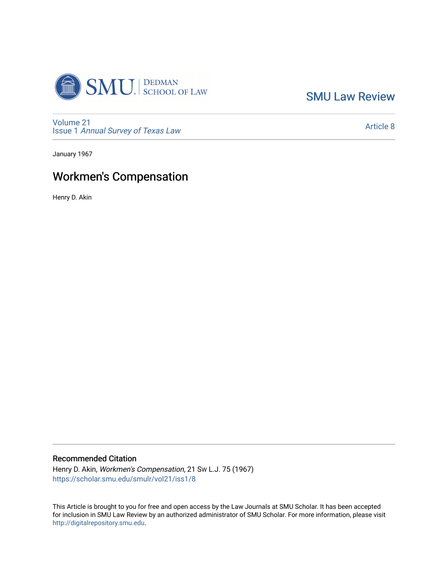

[SMU Law Review](https://scholar.smu.edu/smulr) 

[Volume 21](https://scholar.smu.edu/smulr/vol21) Issue 1 [Annual Survey of Texas Law](https://scholar.smu.edu/smulr/vol21/iss1) 

[Article 8](https://scholar.smu.edu/smulr/vol21/iss1/8) 

January 1967

# Workmen's Compensation

Henry D. Akin

# Recommended Citation

Henry D. Akin, Workmen's Compensation, 21 SW L.J. 75 (1967) [https://scholar.smu.edu/smulr/vol21/iss1/8](https://scholar.smu.edu/smulr/vol21/iss1/8?utm_source=scholar.smu.edu%2Fsmulr%2Fvol21%2Fiss1%2F8&utm_medium=PDF&utm_campaign=PDFCoverPages) 

This Article is brought to you for free and open access by the Law Journals at SMU Scholar. It has been accepted for inclusion in SMU Law Review by an authorized administrator of SMU Scholar. For more information, please visit [http://digitalrepository.smu.edu.](http://digitalrepository.smu.edu/)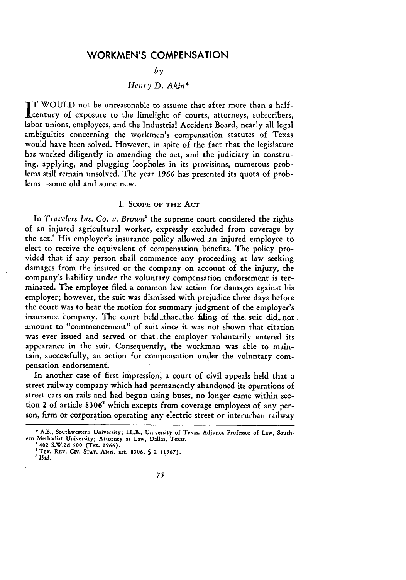# WORKMEN'S **COMPENSATION**

## *by*

# *Henry D. Akin\**

T **WOULD** not be unreasonable to assume that after more than a halfcentury of exposure to the limelight of courts, attorneys, subscribers, labor unions, employees, and the Industrial Accident Board, nearly all legal ambiguities concerning the workmen's compensation statutes of Texas would have been solved. However, in spite of the fact that the legislature has worked diligently in amending the act, and the judiciary in construing, applying, and plugging loopholes in its provisions, numerous problems still remain unsolved. The year 1966 has presented its quota of problems-some old and some new.

## I. SCOPE OF THE ACT

In *Travelers Ins. Co. v. Brown'* the supreme court considered the rights of an injured agricultural worker, expressly excluded from coverage by the act.' His employer's insurance policy allowed an injured employee to elect to receive the equivalent of compensation benefits. The policy provided that if any person shall commence any proceeding at law seeking damages from the insured or the company on account of the injury, the company's liability under the voluntary compensation endorsement is terminated. The employee filed a common law action for damages against his employer; however, the suit was dismissed with prejudice three days before the court was to hear the motion for'summary judgment of the employer's insurance company. The court held that the filing of the suit did not. amount to "commencement" of suit since it was not shown that citation was ever issued and served or that -the employer voluntarily entered its appearance in the suit. Consequently, the workman was able to maintain, successfully, an action for compensation under the voluntary compensation endorsement.

In another case of first impression, a court of civil appeals held that a street railway company which had permanently abandoned its operations of street cars on rails and had begun-using buses, no longer came within section 2 of article **8306'** which excepts from coverage employees of any person, firm or corporation operating any electric street or interurban railway

<sup>\*</sup> A.B., Southwestern University; LL.B., University of Texas. Adjunct Professor of Law, South**ern** Methodist University; Attorney at Law, Dallas, Texas.

**<sup>&#</sup>x27;** 402 S.W.2d **500** (Tex. 1966). 2TEx. **REV. CirV. STAT.** ANN. art. **8306, S** 2 (1967). *3 Ibid.*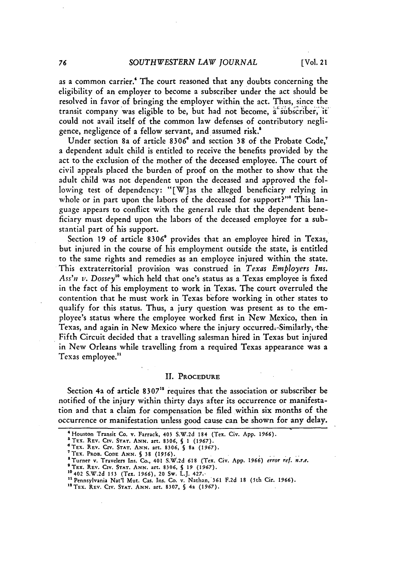as a common carrier.<sup>4</sup> The court reasoned that any doubts concerning the eligibility of an employer to become a subscriber under the act should be resolved in favor of bringing the employer within the act. Thus, since the transit company was eligible to be, but had not become, a subscriber, it could not avail itself of the common law defenses of contributory negligence, negligence of a fellow servant, and assumed risk.'

Under section 8a of article **8306** and section **38** of the Probate Code, a dependent adult child is entitled to receive the benefits provided by the act to the exclusion of the mother of the deceased employee. The court of civil appeals placed the burden of proof on the mother to show that the adult child was not dependent upon the deceased and approved the following test of dependency: "[W]as the alleged beneficiary relying in whole or in part upon the labors of the deceased for support?"<sup>8</sup> This language appears to conflict with the general rule that the dependent beneficiary must depend upon the labors of the deceased employee for a substantial part of his support.

Section **19** of article **8306'** provides that an employee hired in Texas, but injured in the course of his employment outside the state, is entitled to the same rights and remedies as an employee injured within the state. This extraterritorial provision was construed in *Texas Employers Ins.* Ass'n v. Dossey<sup>10</sup> which held that one's status as a Texas employee is fixed in the fact of his employment to work in Texas. The court overruled the contention that he must work in Texas before working in other states to qualify for this status. Thus, a jury question was present as to the employee's status where the employee worked first in New Mexico, then in Texas, and again in New Mexico where the injury occurred. Similarly, the Fifth Circuit decided that a travelling salesman hired in Texas but injured in New Orleans while travelling from a required Texas appearance was a Texas employee."

#### **II.** PROCEDURE

Section 4a of article 8307<sup>12</sup> requires that the association or subscriber be notified of the injury within thirty days after its occurrence or manifestation and that a claim for compensation be filed within six months of the occurrence or manifestation unless good cause can be shown for any delay.

<sup>&#</sup>x27;Houston **Transit Co. v. Farrack, 403 S.W.2d** 184 (Tex. **Civ. App. 1966).**

**S** TEX. REV. CIV. STAT. ANN. art. 8306, § 1 (1967).<br> **S** TEX. REV. CIV. STAT. ANN. art. 8306, § 8a (1967).

**<sup>6</sup>TEx. REV. CIV. STAT. ANN. art. 8306, § 8a** *(1967).* **<sup>7</sup> TEX. PROB. CODE ANN. § 38 (1956).**

<sup>&</sup>lt;sup>8</sup> Turner v. Travelers Ins. Co., 401 S.W.2d 618 (Tex. Civ. App. 1966) error ref. n.r.e.<br><sup>9</sup> TEX. REV. CIV. STAT. ANN. art. 8306, § 19 (1967).<br><sup>10</sup> 402 S.W.2d 153 (Tex. 1966). 20 Sw. J. J. 427.

**<sup>&#</sup>x27;"** Pennsylvania Nat'l Mut. Cas. Ins. Co. v. Nathan, **361 F.2d 18** (5th Cir. **1966).**

<sup>1&</sup>lt;sup>2</sup> TEX. REV. CIV. STAT. ANN. art. 8307, § 4a (1967)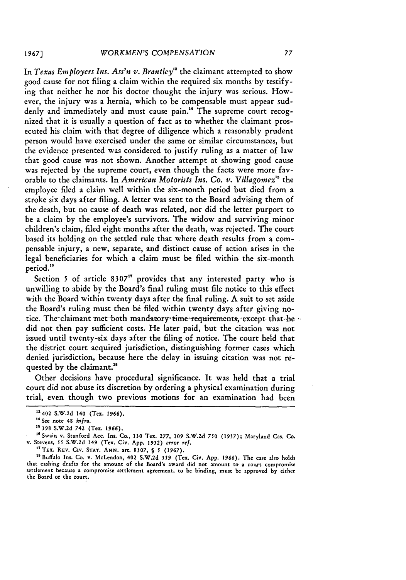In *Texas Employers Ins. Ass'n v. Brantley"a* the claimant attempted to show good cause for not filing a claim within the required six months by testifying that neither he nor his doctor thought the injury was serious. However, the injury was a hernia, which to be compensable must appear suddenly and immediately and must cause pain.<sup>14</sup> The supreme court recognized that it is usually a question of fact as to whether the claimant prosecuted his claim with that degree of diligence which a reasonably prudent person would have exercised under the same or similar circumstances, but the evidence presented was considered to justify ruling as a matter of law that good cause was not shown. Another attempt at showing good cause was rejected by the supreme court, even though the facts were more favorable to the claimants. In *American Motorists Ins. Co. v. Villagomez*<sup>15</sup> the employee filed a claim well within the six-month period but died from a stroke six days after filing. A letter was sent to the Board advising them of the death, but no cause of death was related, nor did the letter purport to be a claim by the employee's survivors. The widow and surviving minor children's claim, filed eight months after the death, was rejected. The court based its holding on the settled rule that where death results from a compensable injury, a new, separate, and distinct cause of action arises in the legal beneficiaries for which a claim must be filed within the six-month period."

Section 5 of article 8307<sup>17</sup> provides that any interested party who is unwilling to abide by the Board's final ruling must file notice to this effect with the Board within twenty days after the final ruling. A suit to set aside the Board's ruling must then be filed within twenty days after giving notice. The claimant met both mandatory time requirements, except that he did not then pay sufficient costs. He later paid, but the citation was not issued until twenty-six days after the filing of notice. The court held that the district court acquired jurisdiction, distinguishing former cases which denied jurisdiction, because here the delay in issuing citation was not requested by the claimant.<sup>18</sup>

Other decisions have procedural significance. It was held that a trial court did not abuse its discretion by ordering a physical examination during trial, even though two previous motions for an examination had been

**" <sup>8</sup> Buffalo Ins. Co. v. McLendon, 402 S.W.2d 559 (Tex. Civ. App. 1966). The case also** holds that cashing **drafts for the amount of** the **Board's award did not** amount **to a court compromise settlement** because **a compromise settlement agreement, to** be **binding, must be approved by either the Board or the court.**

**<sup>13402</sup> S.W.2d 140 (Tex. 1966).**

<sup>14</sup> See note **48 infra.**

**<sup>&</sup>quot;3 398 S.W.2d 742 (Tex. 1966).**

<sup>&</sup>lt;sup>16</sup> Swain v. Stanford Acc. Ins. Co., 130 Tex. 277, 109 S.W.2d 750 (1937); Maryland Cas. Co. **v.** Stevens, **55 S.W.2d 149 (Tex. Civ. App. 1932) error ref.**

**<sup>&#</sup>x27;"TEx. REV. CIv. STAT. ANN. art. 8307, §** *5* **(1967).**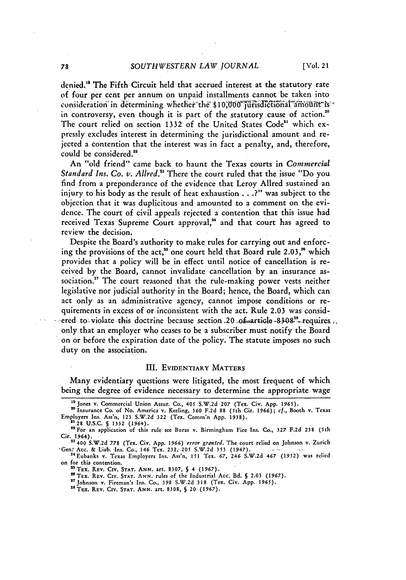denied.<sup>19</sup> The Fifth Circuit held that accrued interest at the statutory rate of four per cent per annum on unpaid installments cannot be taken into consideration in determining whether the \$10,000 jurisdictional amount is a in controversy, even though it is part of the statutory cause of action.<sup>20</sup> The court relied on section 1332 of the United States Code"' which expressly excludes interest in determining the jurisdictional amount and rejected a contention that the interest was in fact a penalty, and, therefore, could be considered.<sup>22</sup>

An "old friend" came back to haunt the Texas courts in *Commercial Standard Ins. Co. v. Allred.*<sup>23</sup> There the court ruled that the issue "Do you find from a preponderance of the evidence that Leroy AlIred sustained an injury to his body as the result of heat exhaustion ... **?"** was subject to the objection that it was duplicitous and amounted to a comment on the evidence. The court of civil appeals rejected a contention that this issue had received Texas Supreme Court approval.<sup>24</sup> and that court has agreed to review the decision.

Despite the Board's authority to make rules for carrying out and enforcing the provisions of the act,<sup>25</sup> one court held that Board rule 2.03,<sup>26</sup> which provides that a policy will be in effect until notice of cancellation is received by the Board, cannot invalidate cancellation by an insurance association." The court reasoned that the rule-making power vests neither legislative nor judicial authority in the Board; hence, the Board, which can act only as an administrative agency, cannot impose conditions or requirements in excess of or inconsistent with the act. Rule 2.03 was consid- -ered to violate this doctrine because section 20 .0**f-article .8308<sup>28</sup> -** requires... only that an employer who ceases to be a subscriber must notify the Board on or before the expiration date of the policy. The statute imposes no such duty on the association.

#### III. EvIDENTIARY MATTERS

Many evidentiary questions were litigated, the most frequent of which being the degree of evidence necessary to determine the appropriate wage

'Gen: Acc. & Liab. Ins. Co., 146 Tex. 232, 205 *S.W.2d* 353 (1947).<br><sup>24</sup> Eubanks v. Texas Employers Ins. Ass'n, 151 Tex. 67, 246 S.W.2d 467 (1952) was relied

on for this contention.

2TEX. 2 REV. **CiV. STAT.** ANN. art. 8307, S 4 (1967). TEx. REV. **CIv. STAT.** ANN. rules of the Industrial Acc: Bd. **§** 2.03 *(1967).* <sup>27</sup>

Johnson v. Fireman's Ins. Co., 398 S.W.2d **318** (Tex. Civ. App. 1965). 28TEx. REV. CIr. **STAT.** ANN. art. 8308, § 20 (1967).

<sup>&</sup>quot; <sup>9</sup> Jones v. Commercial Union Assur. Co., 405 S.W.2d **207** (Tex. Civ. App. *1961).*

<sup>&</sup>quot; Insurance Co. of No. America v. Keeling, 360 F.2d **88** (5th Cir. *1966); cf.,* Booth v. Texas Employers Ins. Ass'n, **123** S.W.2d 322 (Tex. Comm'n App. **1938). <sup>2128</sup>U.S.C.** § 1332 (1964).

<sup>&</sup>lt;sup>21</sup> 28 U.S.C. § 1332 (1964).<br><sup>22</sup> For an application of this rule see Buras v. Birmingham Fire Ins. Co., 327 F.2d 238 (5th Cir. 1964). **<sup>23</sup>**400 S.W.2d 778 (Tex. Civ. App. 1966) *error granted.* The court relied on Johnson v. Zurich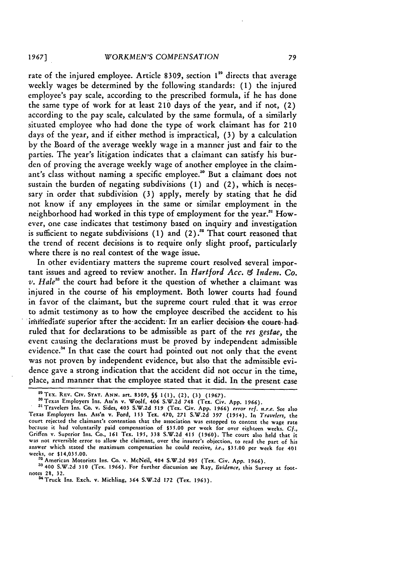rate of the injured employee. Article 8309, section 1<sup>29</sup> directs that average weekly wages **be** determined by the following standards: **(1)** the injured employee's pay scale, according to the prescribed formula, if he has done the same type of work for at least **210** days of the year, and if not, (2) according to the pay scale, calculated by the same formula, of a similarly situated employee who had done the type of work claimant has for 210 days of the year, and if either method is impractical, **(3) by** a calculation by the Board of the average weekly wage in a manner just and fair to the parties. The year's litigation indicates that a claimant can satisfy his burden of proving the average weekly wage of another employee in the claimant's class without naming a specific employee."0 But a claimant does not sustain the burden of negating subdivisions **(1)** and (2), which is necessary in order that subdivision **(3)** apply, merely by stating that he did not know if any employees in the same or similar employment in the neighborhood had worked in this type of employment for the year.<sup>31</sup> However, one case indicates that testimony based on inquiry and investigation is sufficient to negate subdivisions  $(1)$  and  $(2)$ .<sup>38</sup> That court reasoned that the trend of recent decisions is to require only slight proof, particularly where there is no real contest of the wage issue.

In other evidentiary matters the supreme court resolved several important issues and agreed to review another. In *Hartford Acc. & Indem. Co.*  $v.$  Hale<sup>33</sup> the court had before it the question of whether a claimant was injured in the course of his employment. Both lower courts had found in favor of the claimant, but the supreme court ruled that it was error to admit testimony as to how the employee described the accident to his immediate superior after the accident. In an earlier decision the court-hadruled that for declarations to be admissible as part of the *res gestae,* the event causing the declarations must be proved by independent admissible evidence." In that case the court had pointed out not only that the event was not proven by independent evidence, but also that the admissible evidence gave a strong indication that the accident did not occur in the time, place, and manner that the employee stated that it did. In the present case

<sup>33</sup> 400 S.W.2d 310 (Tex. 1966). For further discussion see Ray, *Evidence*, this Survey at foot-<br>notes 28, 32.<br><sup>34</sup> Truck Ins. Exch. v. Michling, 364 S.W.2d 172 (Tex. 1963).

**sTEX. REV. CIv. STAT. ANN.** art. **8309, §§ 1(1),** (2), **(3) (1967).**

<sup>a</sup>Texas Employers Ins. Ass'n v. Woolf, 406 **S.W.2d** 748 (Tex. Civ. **App. 1966).** • Travelers Ins. Co. v. Sides, 403 **S.W.2d 519** (Tex. Civ. **App. 1966)** *error* ref. *n.r.e.* See also Texas Employers Ins. Ass'n v. Ford, **153** Tex. 470, **271 S.W.2d 397** (1954). In *Travelers,* the **court** rejected the claimant's contention that the association was estopped to contest the wage rate because it had voluntarily paid compensation of \$35.00 per week for over eighteen weeks. Cf., Griffen v. Superior Ins. Co., **161** Tex. 195, **338** S.W.2d 415 (1960). The court also held that it was not reversible error to allow the claimant, over the insurer's objection, to read the part of his answer which stated the maximum compensation he could receive, *i.e.,* \$35.00 per week for 401 weeks, or \$14,035.00.<br><sup>32</sup> American Motorists Ins. Co. v. McNeil, 404 S.W.2d 905 (Tex. Civ. App. 1966).<br><sup>33</sup> 400 S.W.2d 310 (Tex. 1966). For further discussion see Ray, *Evidence*, this Survey at foot-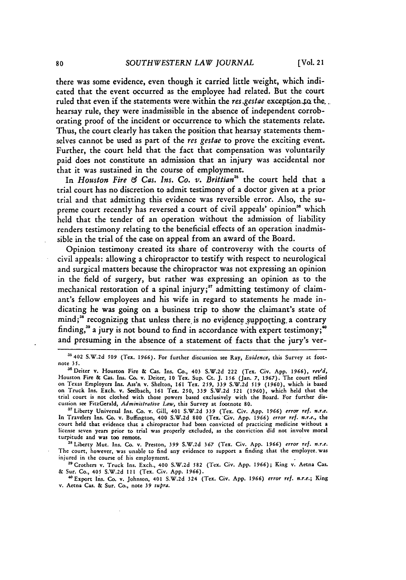there was some evidence, even though it carried little weight, which indicated that the event occurred as the employee had related. But the court ruled that even if the statements were within the res. gestae exception to the... hearsay rule, they were inadmissible in the absence of independent corroborating proof of the incident or occurrence to which the statements relate. Thus, the court clearly has taken the position that hearsay statements themselves cannot be used as part of the res gestae to prove the exciting event. Further, the court held that the fact that compensation was voluntarily paid does not constitute an admission that an injury was accidental nor that it was sustained in the course of employment.

In *Houston Fire & Cas. Ins. Co. v. Brittian*<sup>35</sup> the court held that a trial court has no discretion to admit testimony of a doctor given at a prior trial and that admitting this evidence was reversible error. Also, the supreme court recently has reversed a court of civil appeals' opinion<sup>36</sup> which held that the tender of an operation without the admission of liability renders testimony relating to the beneficial effects of an operation inadmissible in the trial of the case on appeal from an award of the Board.

Opinion testimony created its share of controversy with the courts of civil appeals: allowing a chiropractor to testify with respect to neurological and surgical matters because the chiropractor was not expressing an opinion in the field of surgery, but rather was expressing an opinion as to the mechanical restoration of a spinal injury;<sup>37</sup> admitting testimony of claimant's fellow employees and his wife in regard to statements he made indicating he was going on a business trip to show the claimant's state of mind;<sup>38</sup> recognizing that unless there is no evidence supporting a contrary finding,<sup>39</sup> a jury is not bound to find in accordance with expert testimony;<sup>40</sup> and presuming in the absence of a statement of facts that the jury's ver-

*'s* Liberty Mut. Ins. Co. v. Preston, 399 S.W.2d **367** (Tex. Civ. App. 1966) *error ref. n.r.e.* The court, however, was unable to find any evidence to support a finding that the employee, was injured in the course of his employment.

39 Crothers v. Truck Ins. Exch., 400 S.W.2d 582 (Tex. Civ. App. 1966); King v. Aetna Cas. & Sur. Co., 405 S.W.2d **I11** (Tex. Civ. App. 1966).

4°Export Ins. Co. v. Johnson, 401 S.W.2d 324 (Tex. Civ. App. 1966) *error ref. n.r.e.;* King v. Aetna Cas. & Sur. Co., note 39 *supra.*

**<sup>35402</sup>** S.W.2d **509** *(Tex.* 1966). For further discussion see Ray, *Evidence,* this Survey at footnote **35.**

<sup>36</sup>Deiter v. Houston Fire & Cas. Ins. Co., 403 S.W.2d 222 (Tex. Civ. App. 1966), *revd,* Houston Fire & Cas. Ins. Co. v. Deiter, 10 Tex. Sup. Ct. J. 156 (Jan. 7, 1967). The court relied<br>on Texas Employers Ins. Ass'n v. Shelton, 161 Tex. 259, 339 S.W.2d 519 (1960), which is based<br>on Truck Ins. Exch. v. Seelbach cussion see FitzGerald, *Administrative Law,* this Survey at footnote 80.

<sup>&</sup>lt;sup>37</sup> Liberty Universal Ins. Co. v. Gill, 401 S.W.2d 339 (Tex. Civ. App. 1966) error ref. n.r.e. In Travelers Ins. Co. v. Buflington, 400 S.W.2d 800 (Tex. Civ. App. *1966) error ref. n.r.e.,* the court **held** that evidence that a chiropractor **had** been convicted of practicing medicine without a license seven years prior to trial was properly excluded, as the conviction did not involve moral turpitude and was too remote.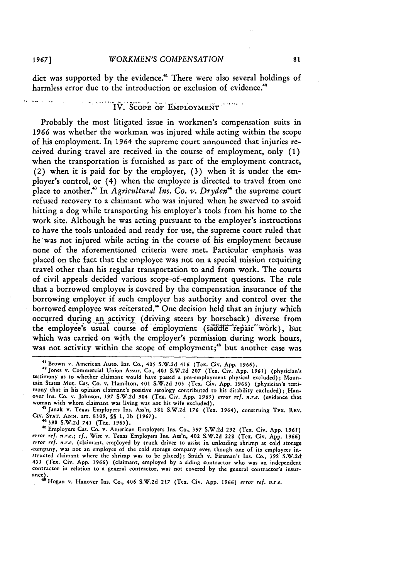dict was supported by the evidence."' There were also several holdings of harmless error due to the introduction or exclusion of evidence.<sup>48</sup>

# **0. bi'EMPLOYMENT".**

Probably the most litigated issue in workmen's compensation suits in **1966** was whether the workman was injured while acting within the scope of his employment. In 1964 the supreme court announced that injuries received during travel are received in the course of employment, only (1) when the transportation is furnished as part of the employment contract, (2) when it is paid for by the employer, (3) when it is under the employer's control, or (4) when the employee is directed to travel from one place to another.<sup>33</sup> In *Agricultural Ins. Co. v. Dryden*<sup>44</sup> the supreme court refused recovery to a claimant who was injured when he swerved to avoid hitting a dog while transporting his employer's tools from his home to the work site. Although he was acting pursuant to the employer's instructions to have the tools unloaded and ready for use, the supreme court ruled that he'was not injured while acting in the course of his employment because none of the aforementioned criteria were met. Particular emphasis was placed on the fact that the employee was not on a special mission requiring travel other than his regular transportation to and from work. The courts of civil appeals decided various scope-of-employment questions. The rule that a borrowed employee is covered by the compensation insurance of the borrowing employer if such employer has authority and control over the borrowed employee was reiterated.<sup>45</sup> One decision held that an injury which occurred during an activity (driving steers by horseback) diverse from the employee's usual course of employment (saddle repair work), but which was carried on with the employer's permission during work hours, was not activity within the scope of employment;<sup>46</sup> but another case was

"398 **S.W.2d** 745 (Tex. **1965).**

<sup>41</sup> Brown v. American Auto. Ins. Co., 405 S.W.2d 416 (Tex. Civ. **App. 1966).**

<sup>&</sup>lt;sup>42</sup> Jones v. Commercial Union Assur. Co., 405 S.W.2d 207 (Tex. Civ. App. 1965) (physician's<br>testimony as to whether claimant would have passed a pre-employment physical excluded); Moun-<br>tain States Mut. Cas. Co. v. Hamilt mony that in his opinion claimant's positive serology contributed to his disability excluded); Hanover Ins. Co. v. Johnson, **397 S.W,2d** 904 (Tex. Civ. **App.** *1965) error* **ref. n.r.e.** (evidence that woman with whom claimant was living was not his wife excluded).

<sup>43</sup>Janak v. Texas Employers Ins. Ass'n, **381** S.W.2d **176** (Tex. 1964), construing TEx. **REV. CIv. STAT. ANN.** art. **8309, §§** 1, **lb** (1967).

<sup>&</sup>lt;sup>45</sup> Employers Cas. Co. v. American Employers Ins. Co., 397 S.W.2d 292 (Tex. Civ. App. 1965)<br>error ref. n.r.e.; cf., Wise v. Texas Employers Ins. Ass'n, 402 S.W.2d 228 (Tex. Civ. App. 1966)<br>error ref. n.r.e. (claimant, emp ,company, was not an employee of the cold storage company even though one of its employees instructed claimant where the shrimp was to be placed); Smith V. Fireman's Ins. Co., 398 **S.W.2d-**435 (Tex. Civ. App. **1966)** (claimant, employed by a siding contractor who was an independent contractor in relation to a general contractor, was not covered by the general contractor's insurance). • **Hogan v. Hanover** Ins. *Co., 406* S.W.2d *217* (Tea. Civ. App. 1966) *error ref. n.r.e.*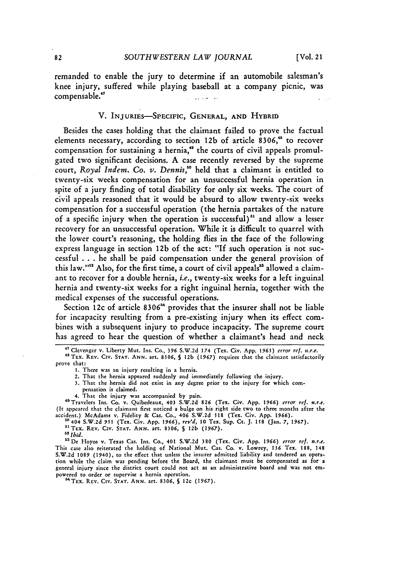remanded to enable the jury to determine if an automobile salesman's knee injury, suffered while playing baseball at a company picnic, was compensable." **..**

## V. INJURIEs-SPECIFIC, **GENERAL, AND** HYBRID

Besides the cases holding that the claimant failed to prove the factual elements necessary, according to section **12b** of article 8306," to recover compensation for sustaining a hernia,<sup>49</sup> the courts of civil appeals promulgated two significant decisions. A case recently reversed by the supreme court, *Royal Indent. Co. v. Dennis,"'* held that a claimant is entitled to twenty-six weeks compensation for an unsuccessful hernia operation in spite of a jury finding of total disability for only six weeks. The court of civil appeals reasoned that it would be absurd to allow twenty-six weeks compensation for a successful operation (the hernia partakes of the nature of a specific injury when the operation is successful)" and allow a lesser recovery for an unsuccessful operation. While it is difficult to quarrel with the lower court's reasoning, the holding flies in the face of the following express language in section 12b of the act: "If such operation is not successful . . . he shall be paid compensation under the general provision of this law."<sup>52</sup> Also, for the first time, a court of civil appeals<sup>53</sup> allowed a claimant to recover for a double hernia, *i.e.,* twenty-six weeks for a left inguinal hernia and twenty-six weeks for a right inguinal hernia, together with the medical expenses of the successful operations.

Section 12c of article **8306"** provides that the insurer shall not be liable for incapacity resulting from a pre-existing injury when its effect combines with a subsequent injury to produce incapacity. The supreme court has agreed to hear the question of whether a claimant's head and neck

**"** Clevenger v. Liberty Mut. Ins. **Co., 396** S.W.2d 174 (Tex. Civ. **App.** *1965) error ref. n.r.e.*

"TEx. REv. **CIv. STAT. ANN.** art. **8306, S 12b (1967)** requires that the claimant satisfactorily prove that:

**1.** There was an injury resulting in a hernia.

2. That the hernia appeared suddenly and immediately following the injury.

**3.** That the hernia did not exist in any degree prior to the injury for which com-

pensation is claimed.

4. That the injury was accompanied **by** pain. "'Travelers Ins. Co. v. Quibedeaux, 403 S.W.2d **826** (Tex. Civ. App. 1966) *error ref. n.r.e.* (It appeared that the claimant first noticed **a** bulge on his right side two to three months after the accident.) McAdams v. Fidelity & Cas. Co., 406 S.W.2d 518 (Tex. Civ. App. 1966).

**at At A S.W.2d 951 (Tex. Civ. App. 1966), rev'd, 10 Tex. Sup. Ct. J. 158 (Jan. 7, 1967).**<br>
<sup>51</sup> TEX. Rev. Civ. STAT. ANN. art. 8306, § 12b (1967).

*2 Ibid.*

**53 De** I-loyos v. Texas Cas. Ins. Co., 401 S.W.2d **380** (Tex. Civ. **App.** 1966) *error ref. n.r.e.* This case also reiterated the holding of National Mut. Cas. Co. v. Lowrey, **136** Tex. **188,** 148 **S.W.2d 1089** (1940), to the effect that unless the insurer admitted liability and tendered an operation while the claim was pending before the Board, the claimant must be compensated as for **a** general injury since the district court could not act as an administrative board and was not empowered to order or supervise a hernia operation.

"TEx. REv. CIv. **STAT. ANN.** art. 8306, **S** 12c **(1967).**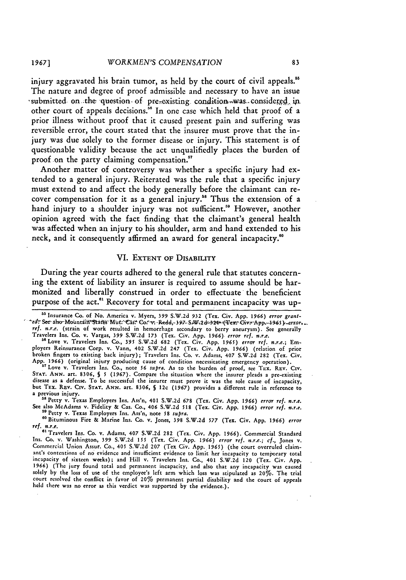injury aggravated his brain tumor, as **held by** the court of civil appeals." The nature and degree of proof admissible and necessary to have an issue submitted on the question of pre-existing condition-was considered in other court of appeals decisions." In one case which held that proof of a prior illness without proof that it caused present pain and suffering was reversible error, the court stated that the insurer must prove that the injury was due solely to the former disease or injury. This statement is of questionable validity because the act unqualifiedly places the burden of proof on the party claiming compensation."

Another matter of controversy was whether a specific injury had extended to a general injury. Reiterated was the rule that a specific injury must extend to and affect the body generally before the claimant can recover compensation for it as a general injury." Thus the extension of a hand injury to a shoulder injury was not sufficient.<sup>59</sup> However, another opinion agreed with the fact finding that the claimant's general health was affected when an injury to his shoulder, arm and hand extended to his neck, and it consequently affirmed an award for general incapacity.<sup>60</sup>

# VI. EXTENT OF DISABILITY

During the year courts adhered to the general rule that statutes concerning the extent of liability an insurer is required to assume should be harmonized and liberally construed in order to effectuate the beneficient purpose of the act.<sup>61</sup> Recovery for total and permanent incapacity was up-

a previous injury.<br><sup>58</sup> Petty v. Texas Employers Ins, Ass'n, 401 S.W.2d 678 (Tex. Civ. App. 1966) error ref. n.r.e.<br>See also McAdams v. Fidelity & Cas. Co., 406 S.W.2d 518 (Tex. Civ. App. 1966) error ref. n.r.e.<br><sup>59</sup> Petty

"°Bituminous Fire & Marine Ins. Co. v. Jones, 398 S.W.2d *577* (Tex. Civ. App. 1966) *error ref. n.r.e.*

<sup>&</sup>lt;sup>55</sup> Insurance Co. of No. America v. Myers, 399 S.W.2d 932 (Tex. Civ. App. 1966) error grant-<br>\*ed: See also Mountain States Mut: Eas: Co. v. Redd, 397- SAV.2d=324- (Tex: Civ. App. -1965) - error, ref. n.r.e. (strain of work resulted in hemorrhage secondary to berry aneurysm). See generally Travelers Ins. Co. v. Vargas, 399 S.W.2d 173 (Tex. Civ, App. 1966) *error ref. n.r.e.* " <sup>6</sup> Love v. Travelers Ins. Co., 395 S.W.2d 682 (Tex. Civ. App. *1965) error ref. n.r.e.;* Em-

ployers Reinsurance Corp. v. Vann, 402 S.W.2d 247 (Tex. Civ. App. 1966) (relation of prior broken fingers to existing back injury); Travelers Ins. Co. v. Adams, 407 S.W.2d 282 (Tex. Civ. App. 1966) (original injury producing cause of condition necessitating emergency operation).

<sup>&</sup>quot; Love v. Travelers Ins. Co., note *56 supra.* As to the burden of proof, see Tux. REV. **CIV. STAT. ANN.** art. 8306, **S** *5* (1967). Compare the situation where the insurer pleads a pre-existing STAT. ANN. art. 8306, § 5 (1967). Compare the situation where the insurer pleads a pre-existing disease as a defense. To be successful the insurer must prove it was the sole cause of incapacity. but TEX. REV. CIV. STAT. ANN. art. 8306, § 12c (1967) provides a different rule in reference to

e Travelers Ins. Co. v. Adams, 407 **S.W.2d 282** (Tex. Civ. App. **1966).** Commercial Standard Ins. Co. v. Washington, **399** S.W.2d *155* (Tex. Civ. App. *1966) error ref. n.r.e.; cf.,* Jones v. Commercial Union Assur. Co., 405 S.W.2d **207** (Tex Civ. App. **1965)** (the court overruled claimant's contentions of no evidence and insufficient evidence to limit her incapacity to temporary total incapacity of sixteen weeks); and Hill v. Travelers Ins. Co., **401** S.W.2d 120 (Tex. Civ. App. *1966)* (The jury found total and permanent incapacity, and also that any incapacity was caused solely by the loss of use of the employee's left arm which loss was stipulated as 20%. The trial court resolved the conflict in favor of 20% permanent partial disability and the court of appeals **held** there was no error as this verdict was supported **by** the evidence.).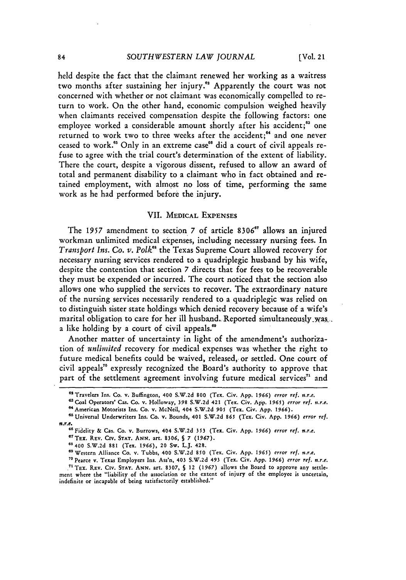**held** despite the fact that the claimant renewed her working as a waitress two months after sustaining her injury." Apparently the court was not concerned with whether or not claimant was economically compelled to return to work. On the other hand, economic compulsion weighed heavily when claimants received compensation despite the following factors: one employee worked a considerable amount shortly after his accident;<sup>83</sup> one returned to work two to three weeks after the accident;<sup>64</sup> and one never ceased to work."s Only in an extreme case'" did a court of civil appeals refuse to agree with the trial court's determination of the extent of liability. There the court, despite a vigorous dissent, refused to allow an award of total and permanent disability to a claimant who in fact obtained and retained employment, with almost no loss of time, performing the same work as he had performed before the injury.

# VII. **MEDICAL EXPENSES**

The **1957** amendment to section **7** of article **8306"** allows an injured workman unlimited medical expenses, including necessary nursing fees. In *Transport Ins. Co. v. Polk"s* the Texas Supreme Court allowed recovery for necessary nursing services rendered to a quadriplegic husband **by** his wife, despite the contention that section **7** directs that for fees to be recoverable they must be expended or incurred. The court noticed that the section also allows one who supplied the services to recover. The extraordinary nature of the nursing services necessarily rendered to a quadriplegic was relied on to distinguish sister state holdings which denied recovery because of a wife's marital obligation to care for her ill husband. Reported simultaneously was, a like holding by a court of civil appeals.<sup>69</sup>

Another matter of uncertainty in light of the amendment's authorization of *unlimited* recovery for medical expenses was whether the right to future medical benefits could be waived, released, or settled. One court of civil appeals"0 expressly recognized the Board's authority to approve that part of the settlement agreement involving future medical services<sup>71</sup> and

**<sup>&</sup>quot;'Travelers Ins. Co.** v. **Buflington,** 400 **S.W.2d 800 (Tex. Civ. App.** *1966) error ref. s.r.e.*

**<sup>&#</sup>x27; Coal Operators' Cas. Co. v. Holloway, 398 S.W.2d 421 (Tex. Civ. App. 1965)** *error ref. n.r.e.* **" <sup>4</sup> American Motorists Ins. Co. v. McNeil, 404 S.W.2d 905 (Tex. Civ. App. 1966).**

**<sup>&</sup>quot; Universal Underwriters Ins. Co. v. Bounds, 401 S.W.2d 865 (Tex. Civ. App. 1966)** *error ref.*

*n.r.e.***6"Fidelity & Cas. Co. v. Burrows, 404 S.W.2d 353 (Tex. Civ. App.** *1966) error ref. n.r.e.*

**<sup>&</sup>quot;'TEX. REV. Cirv. STAT. ANN. art. 8306, 5** *7* **(1967).**

**<sup>68400</sup> S.W.2d 881 (Tex.** *1966).* **20 Sw. L.J. 428.**

**<sup>&</sup>quot;9Western Alliance Co. v. Tubbs, 400 S.W.2d 850 (Tex. Civ. App.** *1965) error ref. n.r.e.*

<sup>&</sup>lt;sup>70</sup> Pearce v. Texas Employers Ins. Ass'n, 403 S.W.2d 493 (Tex. Civ. App. 1966) *error ref. n.r.e.*<br><sup>71</sup> TEX. REV. CIV. STAT. ANN. art. 8307, § 12 (1967) allows the Board to approve any settle-

**ment where the "liability of the association or the extent of injury of the employee is uncertain, indefinite or incapable of being satisfactorily established."**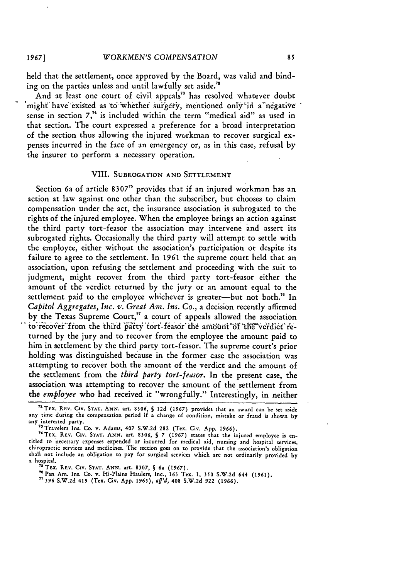held that the settlement, once approved by the Board, was valid and binding on the parties unless and until lawfully set aside."

And at least one court of civil appeals<sup>73</sup> has resolved whatever doubt 'might' have existed as to 'whether' surgery, mentioned only' in a negative sense in section **7,"4** is included within the term "medical aid" as used in that section. The court expressed a preference for a broad interpretation of the section thus allowing the injured workman to recover surgical expenses incurred in the face of an emergency or, as in this case, refusal by the insurer to perform a necessary operation.

### VIII. SUBROGATION AND SETTLEMENT

Section 6a of article 8307<sup>75</sup> provides that if an injured workman has an action at law against one other than the subscriber, but chooses to claim compensation under the act, the insurance association is subrogated to the rights of the injured employee. When the employee brings an action against the third party tort-feasor the association may intervene and assert its subrogated rights. Occasionally the third party will attempt to settle with the employee, either without the association's participation or despite its failure to agree to the settlement. In 1961 the supreme court held that an association, upon refusing the settlement and proceeding with the suit to judgment, might recover from the third party tort-feasor either the amount of the verdict returned by the jury or an amount equal to the settlement paid to the employee whichever is greater--but not both.<sup>76</sup> In *Capitol Aggregates, Inc. v. Great Am. Ins. Co.,* a decision recently affirmed by the Texas Supreme Court," a court of appeals allowed the association to recover from the third party tort-feasor the amount of the verdict returned by the jury and to recover from the employee the amount paid to him in settlement by the third party tort-feasor. The supreme court's prior holding was distinguished because in the former case the association was attempting to recover both the amount of the verdict and the amount of the settlement from the *third party tort-feasor.* In the present case, the association was attempting to recover the amount of the settlement from *the employee* who had received it "wrongfully." Interestingly, in neither

<sup>&</sup>quot; 5 TEx. REV. **CIv. STAT. ANN.** art. **8306, §** 12d **(1967)** provides that an award can be set aside any time during the compensation period if a change of condition, mistake or fraud is shown by any interested party.<br>
<sup>73</sup> Travelers Ins. Co. v. Adams, 407 S.W.2d 282 (Tex. Civ. App. 1966).<br>
<sup>74</sup> Taylor

TEx. REV. CIv. **STAT. ANN.** art. **8306, S 7 (1967)** states that the injured employee is entitled to necessary expenses expended or incurred for medical aid, nursing and hospital services, chiropractic services and medicines. The section goes on to provide that the association's obligation shall not include an obligation to pay for surgical services which are not ordinarily provided by a hospital. **<sup>7</sup>**

**<sup>&#</sup>x27;** TEX. **REV.** Civ. **STAT. ANN.** art. **8307, § 6a (1967).**

**<sup>&#</sup>x27; Pan** Am. Ins. **Co.** v. IHi-Plains Haulers, Inc., **163** Tex. **1, 350 S.W.2d 644 (1961). <sup>17</sup>396 S.W.2d** 419 (Tex. Civ. **App. 1965),** aff'd, 408 S.W.2d **922 (1966).**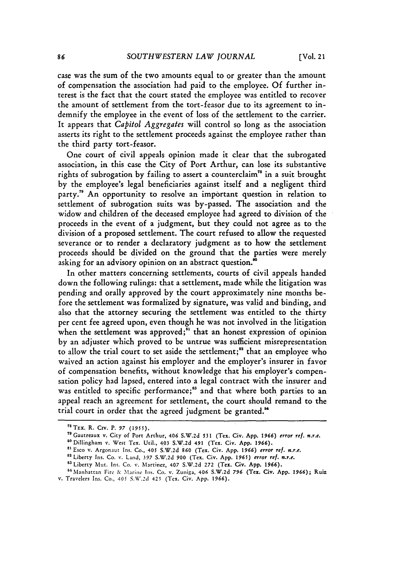case was the sum of the two amounts equal to or greater than the amount of compensation the association had paid to the employee. Of further interest is the fact that the court stated the employee was entitled to recover the amount of settlement from the tort-feasor due to its agreement to indemnify the employee in the event of loss of the settlement to the carrier. It appears that *Capitol Aggregates* will control so long as the association asserts its right to the settlement proceeds against the employee rather than the third party tort-feasor.

One court of civil appeals opinion made it clear that the subrogated association, in this case the City of Port Arthur, can lose its substantive rights of subrogation by failing to assert a counterclaim" in a suit brought by the employee's legal beneficiaries against itself and a negligent third party.<sup>79</sup> An opportunity to resolve an important question in relation to settlement of subrogation suits was by-passed. The association and the widow and children of the deceased employee had agreed to division of the proceeds in the event of a judgment, but they could not agree as to the division of a proposed settlement. The court refused to allow the requested severance or to render a declaratory judgment as to how the settlement proceeds should be divided on the ground that the parties were merely asking for an advisory opinion on an abstract question.<sup>80</sup>

In other matters concerning settlements, courts of civil appeals handed down the following rulings: that a settlement, made while the litigation was pending and orally approved **by** the court approximately nine months before the settlement was formalized by signature, was valid and binding, and also that the attorney securing the settlement was entitled to the thirty per cent fee agreed upon, even though he was not involved in the litigation when the settlement was approved;<sup>81</sup> that an honest expression of opinion by an adjuster which proved to be untrue was sufficient misrepresentation to allow the trial court to set aside the settlement;<sup>82</sup> that an employee who waived an action against his employer and the employer's insurer in favor of compensation benefits, without knowledge that his employer's compensation policy had lapsed, entered into a legal contract with the insurer and was entitled to specific performance;<sup>83</sup> and that where both parties to an appeal reach an agreement for settlement, the court should remand to the trial court in order that the agreed judgment be granted.<sup>84</sup>

<sup>7</sup>TEx. R. Crv. P. *97* **(1955).**

**<sup>7&#</sup>x27;** Gautreaux v. City of Port Arthur, 406 **S.W.2d 531** (Tex. Civ. **App. 1966) error** ref. *n.r.e.* "Dillingham **v.** West Tex. Util., 403 **S.W.2d** 491 (Tex. Civ. **App. 1966).**

**<sup>8&#</sup>x27;** Esco v. Argonaut Ins. Co., 405 **S.W.2d 860** (Tex. Civ. **App. 1966) error** ref. *n.r.e.*

**<sup>&</sup>quot;** Liberty Ins. Co. v. Land, 397 **S.W.2d 900** (Tex. Civ. **App.** *1965) error* ref. *n.r.e.*

<sup>83</sup> Liberty Mut. Ins. Co. v. Martinez, 407 S.W.2d 272 (Tex. Civ. App. 1966).

<sup>84</sup> Manhattan Fire & Marine Ins. Co. v. Zuniga, 406 S.W.2d 796 (Tex. Civ. App. 1966); Ruiz

v. Travelers Ins. Co., 405 **S.\'.2d** 425 (Tex. Civ. App. **1966).**